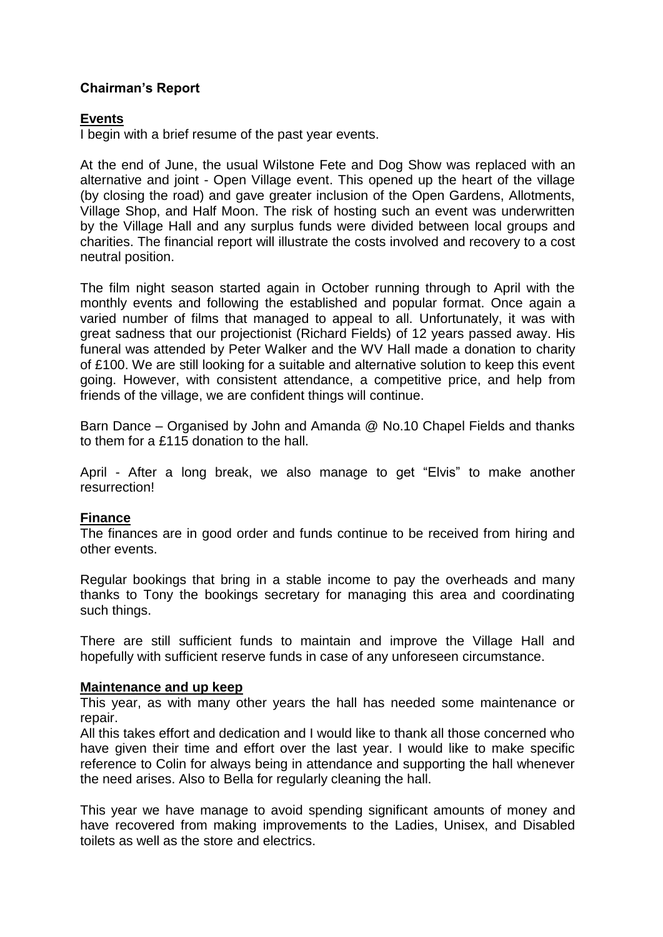## **Chairman's Report**

## **Events**

I begin with a brief resume of the past year events.

At the end of June, the usual Wilstone Fete and Dog Show was replaced with an alternative and joint - Open Village event. This opened up the heart of the village (by closing the road) and gave greater inclusion of the Open Gardens, Allotments, Village Shop, and Half Moon. The risk of hosting such an event was underwritten by the Village Hall and any surplus funds were divided between local groups and charities. The financial report will illustrate the costs involved and recovery to a cost neutral position.

The film night season started again in October running through to April with the monthly events and following the established and popular format. Once again a varied number of films that managed to appeal to all. Unfortunately, it was with great sadness that our projectionist (Richard Fields) of 12 years passed away. His funeral was attended by Peter Walker and the WV Hall made a donation to charity of £100. We are still looking for a suitable and alternative solution to keep this event going. However, with consistent attendance, a competitive price, and help from friends of the village, we are confident things will continue.

Barn Dance – Organised by John and Amanda @ No.10 Chapel Fields and thanks to them for a £115 donation to the hall.

April - After a long break, we also manage to get "Elvis" to make another resurrection!

## **Finance**

The finances are in good order and funds continue to be received from hiring and other events.

Regular bookings that bring in a stable income to pay the overheads and many thanks to Tony the bookings secretary for managing this area and coordinating such things.

There are still sufficient funds to maintain and improve the Village Hall and hopefully with sufficient reserve funds in case of any unforeseen circumstance.

## **Maintenance and up keep**

This year, as with many other years the hall has needed some maintenance or repair.

All this takes effort and dedication and I would like to thank all those concerned who have given their time and effort over the last year. I would like to make specific reference to Colin for always being in attendance and supporting the hall whenever the need arises. Also to Bella for regularly cleaning the hall.

This year we have manage to avoid spending significant amounts of money and have recovered from making improvements to the Ladies, Unisex, and Disabled toilets as well as the store and electrics.